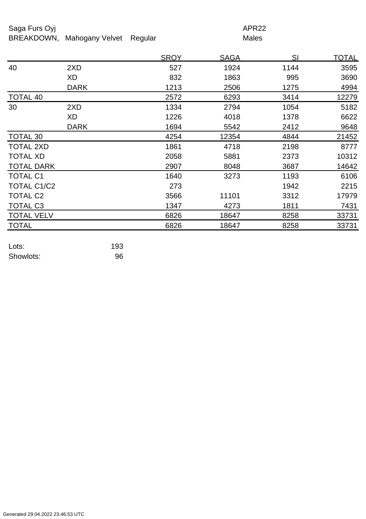## Saga Furs Oyj and the Saga Furs Oyj APR22

BREAKDOWN, Mahogany Velvet Regular Males

|                   |             | <b>SROY</b> | <u>SAGA</u> | SI   | <u>TOTAL</u> |
|-------------------|-------------|-------------|-------------|------|--------------|
| 40                | 2XD         | 527         | 1924        | 1144 | 3595         |
|                   | XD          | 832         | 1863        | 995  | 3690         |
|                   | <b>DARK</b> | 1213        | 2506        | 1275 | 4994         |
| <b>TOTAL 40</b>   |             | 2572        | 6293        | 3414 | 12279        |
| 30                | 2XD         | 1334        | 2794        | 1054 | 5182         |
|                   | XD          | 1226        | 4018        | 1378 | 6622         |
|                   | <b>DARK</b> | 1694        | 5542        | 2412 | 9648         |
| TOTAL 30          |             | 4254        | 12354       | 4844 | 21452        |
| <b>TOTAL 2XD</b>  |             | 1861        | 4718        | 2198 | 8777         |
| <b>TOTAL XD</b>   |             | 2058        | 5881        | 2373 | 10312        |
| <b>TOTAL DARK</b> |             | 2907        | 8048        | 3687 | 14642        |
| <b>TOTAL C1</b>   |             | 1640        | 3273        | 1193 | 6106         |
| TOTAL C1/C2       |             | 273         |             | 1942 | 2215         |
| <b>TOTAL C2</b>   |             | 3566        | 11101       | 3312 | 17979        |
| <b>TOTAL C3</b>   |             | 1347        | 4273        | 1811 | 7431         |
| <b>TOTAL VELV</b> |             | 6826        | 18647       | 8258 | 33731        |
| <b>TOTAL</b>      |             | 6826        | 18647       | 8258 | 33731        |
|                   |             |             |             |      |              |

| Lots:     | 193 |
|-----------|-----|
| Showlots: | 96  |